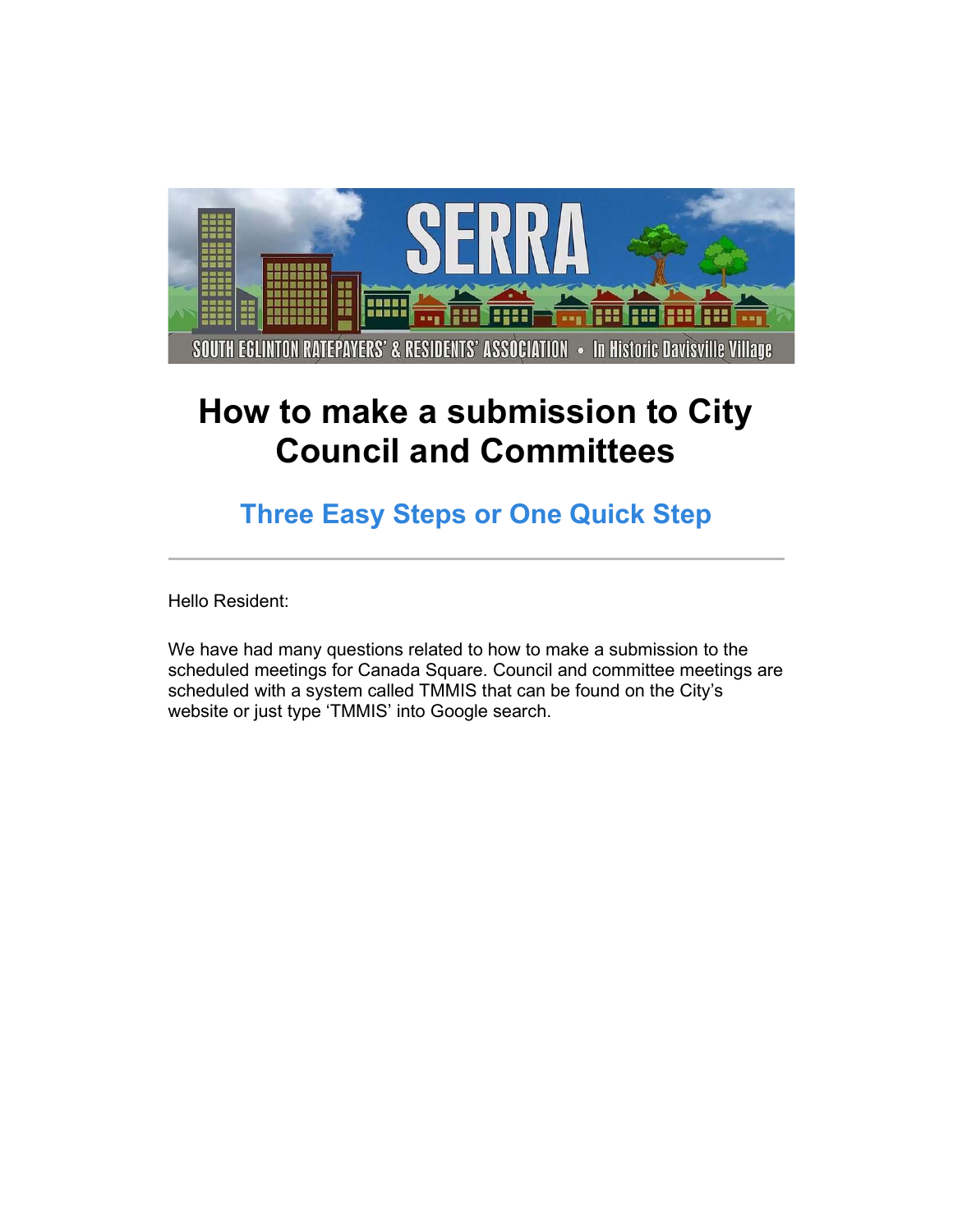

# How to make a submission to City Council and Committees

## Three Easy Steps or One Quick Step

Hello Resident:

We have had many questions related to how to make a submission to the scheduled meetings for Canada Square. Council and committee meetings are scheduled with a system called TMMIS that can be found on the City's website or just type 'TMMIS' into Google search.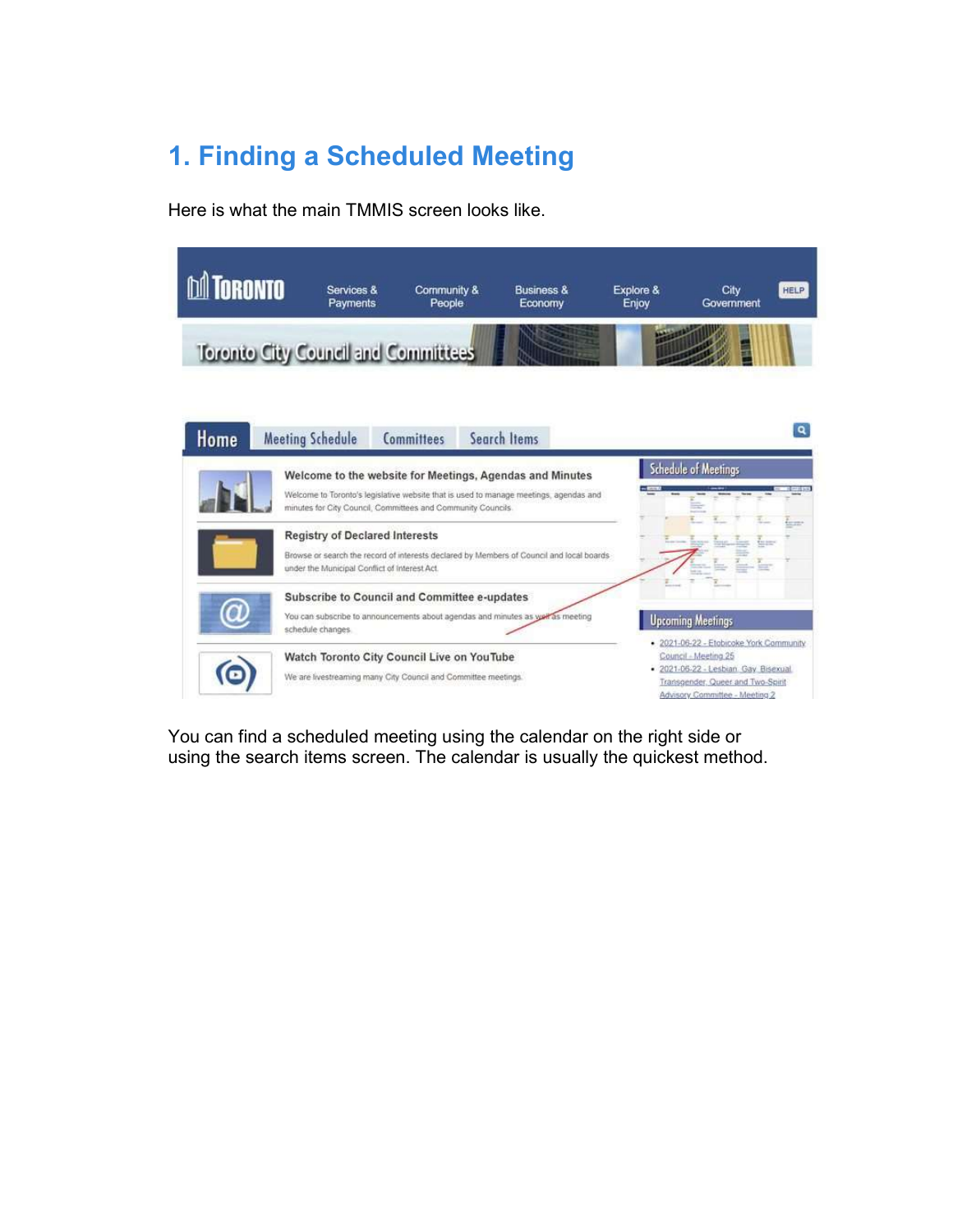## 1. Finding a Scheduled Meeting

Here is what the main TMMIS screen looks like.

| <b>M</b> TORONTO | Services &<br>Payments                                                                                                                                                                                            | Community &<br>People | <b>Business &amp;</b><br>Economy | Explore &<br>Enjoy | City<br>Government                                                                                                                   | <b>HELP</b> |
|------------------|-------------------------------------------------------------------------------------------------------------------------------------------------------------------------------------------------------------------|-----------------------|----------------------------------|--------------------|--------------------------------------------------------------------------------------------------------------------------------------|-------------|
|                  | Toronto City Council and Committees                                                                                                                                                                               |                       |                                  |                    |                                                                                                                                      |             |
| Home             | <b>Meeting Schedule</b>                                                                                                                                                                                           | Committees            | <b>Search Items</b>              |                    |                                                                                                                                      | $\alpha$    |
|                  | Welcome to the website for Meetings, Agendas and Minutes<br>Welcome to Toronto's legislative website that is used to manage meetings, agendas and<br>minutes for City Council, Committees and Community Councils. |                       |                                  |                    | Schedule of Meetings                                                                                                                 |             |
|                  | <b>Registry of Declared Interests</b><br>Browse or search the record of interests declared by Members of Council and local boards-<br>under the Municipal Conflict of Interest Act.                               |                       |                                  |                    |                                                                                                                                      |             |
| 01               | Subscribe to Council and Committee e-updates<br>You can subscribe to announcements about agendas and minutes as well as meeting<br>schedule changes.                                                              |                       |                                  |                    | <b>Upcoming Meetings</b><br>2021-06-22 - Etobicoke York Community                                                                    |             |
|                  | Watch Toronto City Council Live on YouTube<br>We are livestreaming many City Council and Committee meetings.                                                                                                      |                       |                                  |                    | Council - Meeting 25<br>· 2021-06-22 - Lesbian, Gay Bisexual,<br>Transpender, Queer and Two-Spirit<br>Advisory Committee - Meeting 2 |             |

You can find a scheduled meeting using the calendar on the right side or using the search items screen. The calendar is usually the quickest method.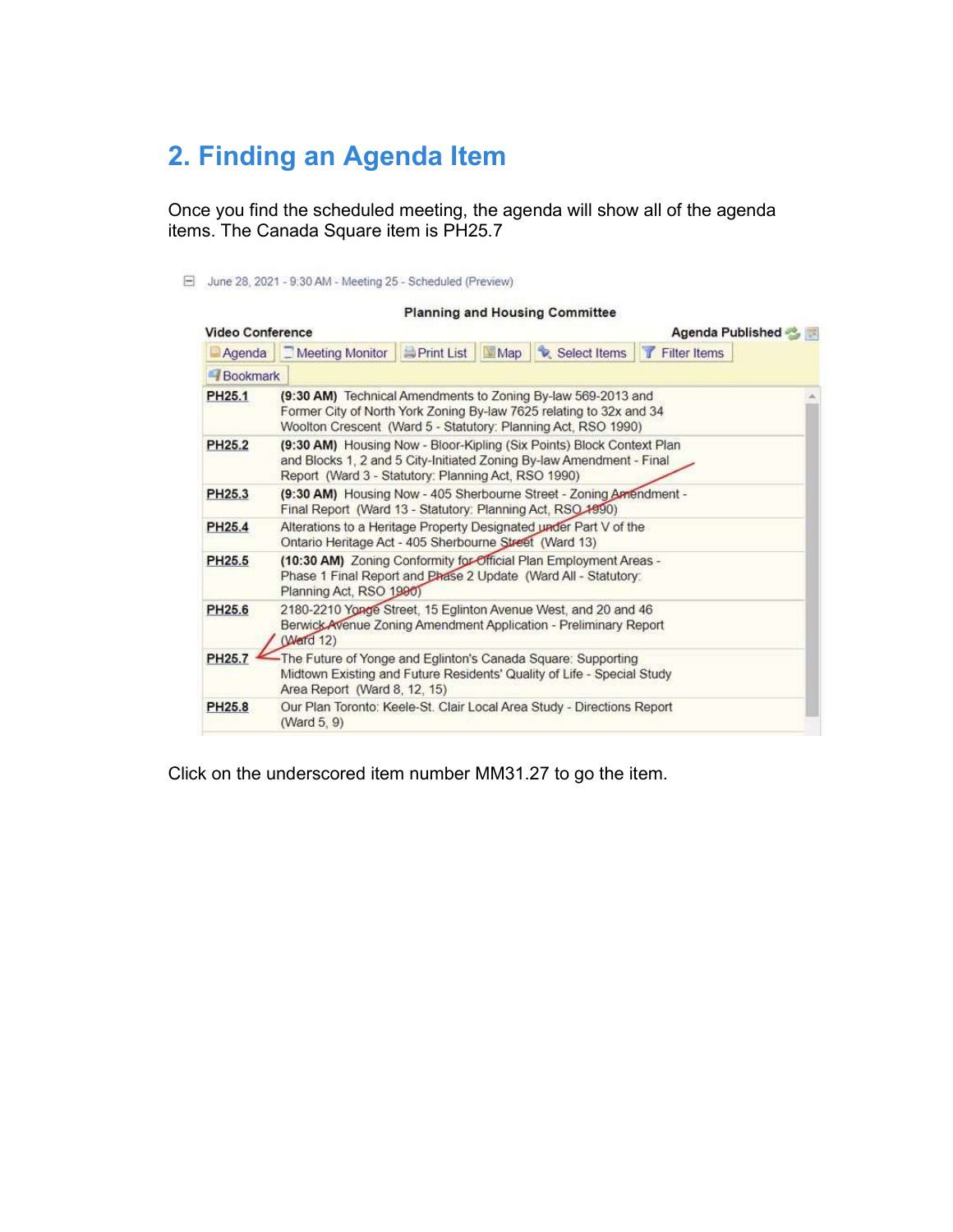## 2. Finding an Agenda Item

Once you find the scheduled meeting, the agenda will show all of the agenda items. The Canada Square item is PH25.7

#### **Planning and Housing Committee**

| <b>Video Conference</b> |                                                                                                                                                                                                      |  |  |  |  | Agenda Published |
|-------------------------|------------------------------------------------------------------------------------------------------------------------------------------------------------------------------------------------------|--|--|--|--|------------------|
| Agenda                  | Neeting Monitor <b>Department List</b> Map <b>C</b> Select Items <b>T</b> Filter Items                                                                                                               |  |  |  |  |                  |
| Bookmark                |                                                                                                                                                                                                      |  |  |  |  |                  |
| PH25.1                  | (9:30 AM) Technical Amendments to Zoning By-law 569-2013 and<br>Former City of North York Zoning By-law 7625 relating to 32x and 34<br>Woolton Crescent (Ward 5 - Statutory: Planning Act, RSO 1990) |  |  |  |  |                  |
| PH25.2                  | (9:30 AM) Housing Now - Bloor-Kipling (Six Points) Block Context Plan<br>and Blocks 1, 2 and 5 City-Initiated Zoning By-law Amendment - Final<br>Report (Ward 3 - Statutory: Planning Act, RSO 1990) |  |  |  |  |                  |
| PH25.3                  | (9:30 AM) Housing Now - 405 Sherbourne Street - Zoning Amendment -<br>Final Report (Ward 13 - Statutory: Planning Act, RSO 1990)                                                                     |  |  |  |  |                  |
| PH25.4                  | Alterations to a Heritage Property Designated under Part V of the<br>Ontario Heritage Act - 405 Sherbourne Street (Ward 13)                                                                          |  |  |  |  |                  |
| PH25.5                  | (10:30 AM) Zoning Conformity for Official Plan Employment Areas -<br>Phase 1 Final Report and Phase 2 Update (Ward All - Statutory:<br>Planning Act, RSO 1990)                                       |  |  |  |  |                  |
| PH25.6                  | 2180-2210 Yonge Street, 15 Eglinton Avenue West, and 20 and 46<br>Berwick Avenue Zoning Amendment Application - Preliminary Report<br>(Ward 12)                                                      |  |  |  |  |                  |
| PH25.7                  | The Future of Yonge and Eglinton's Canada Square: Supporting<br>Midtown Existing and Future Residents' Quality of Life - Special Study<br>Area Report (Ward 8, 12, 15)                               |  |  |  |  |                  |
| PH25.8                  | Our Plan Toronto: Keele-St. Clair Local Area Study - Directions Report<br>(Ward 5, 9)                                                                                                                |  |  |  |  |                  |

Click on the underscored item number MM31.27 to go the item.

June 28, 2021 - 9:30 AM - Meeting 25 - Scheduled (Preview)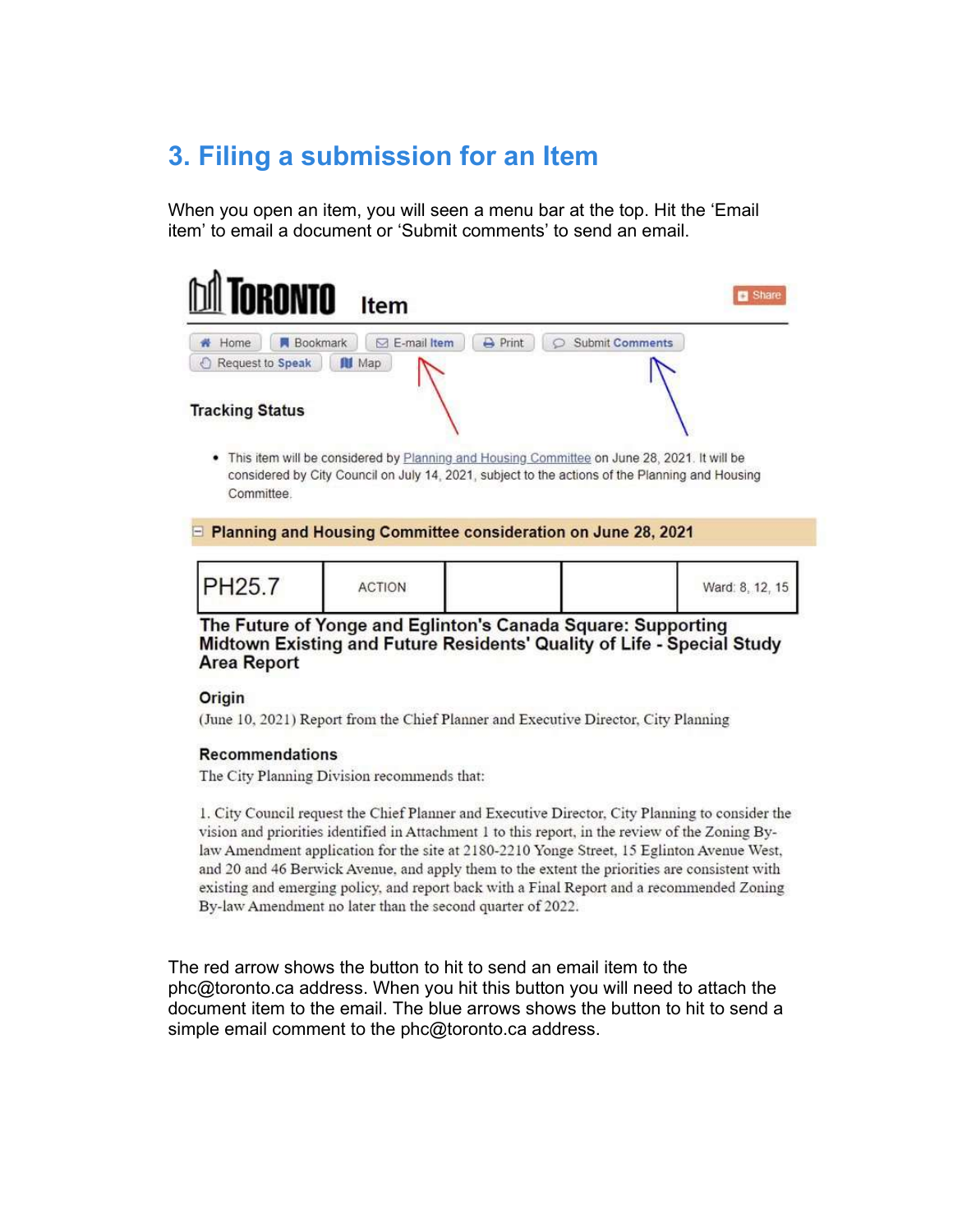### 3. Filing a submission for an Item

When you open an item, you will seen a menu bar at the top. Hit the 'Email item' to email a document or 'Submit comments' to send an email.



. This item will be considered by Planning and Housing Committee on June 28, 2021. It will be considered by City Council on July 14, 2021, subject to the actions of the Planning and Housing Committee.

#### **E** Planning and Housing Committee consideration on June 28, 2021

| <b>PH25.7</b> | <b>ACTION</b><br>and the company of the state of the company of the |  |  | Ward: 8, 12, 15 |
|---------------|---------------------------------------------------------------------|--|--|-----------------|
|---------------|---------------------------------------------------------------------|--|--|-----------------|

#### The Future of Yonge and Eglinton's Canada Square: Supporting Midtown Existing and Future Residents' Quality of Life - Special Study **Area Report**

#### Origin

(June 10, 2021) Report from the Chief Planner and Executive Director, City Planning

#### **Recommendations**

The City Planning Division recommends that:

1. City Council request the Chief Planner and Executive Director, City Planning to consider the vision and priorities identified in Attachment 1 to this report, in the review of the Zoning Bylaw Amendment application for the site at 2180-2210 Yonge Street, 15 Eglinton Avenue West, and 20 and 46 Berwick Avenue, and apply them to the extent the priorities are consistent with existing and emerging policy, and report back with a Final Report and a recommended Zoning By-law Amendment no later than the second quarter of 2022.

The red arrow shows the button to hit to send an email item to the phc@toronto.ca address. When you hit this button you will need to attach the document item to the email. The blue arrows shows the button to hit to send a simple email comment to the phc@toronto.ca address.